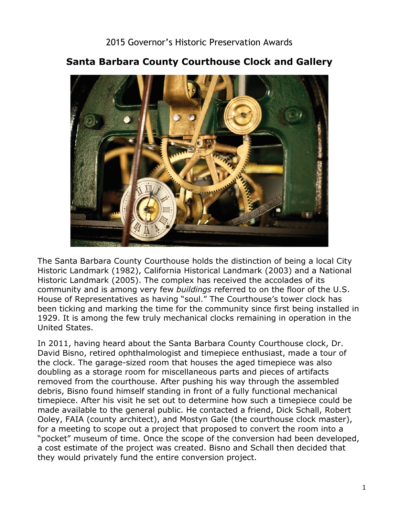

## **Santa Barbara County Courthouse Clock and Gallery**

 The Santa Barbara County Courthouse holds the distinction of being a local City community and is among very few *buildings* referred to on the floor of the U.S. 1929. It is among the few truly mechanical clocks remaining in operation in the Historic Landmark (1982), California Historical Landmark (2003) and a National Historic Landmark (2005). The complex has received the accolades of its House of Representatives as having "soul." The Courthouse's tower clock has been ticking and marking the time for the community since first being installed in United States.

 In 2011, having heard about the Santa Barbara County Courthouse clock, Dr. David Bisno, retired ophthalmologist and timepiece enthusiast, made a tour of the clock. The garage-sized room that houses the aged timepiece was also doubling as a storage room for miscellaneous parts and pieces of artifacts removed from the courthouse. After pushing his way through the assembled debris, Bisno found himself standing in front of a fully functional mechanical timepiece. After his visit he set out to determine how such a timepiece could be made available to the general public. He contacted a friend, Dick Schall, Robert Ooley, FAIA (county architect), and Mostyn Gale (the courthouse clock master), for a meeting to scope out a project that proposed to convert the room into a "pocket" museum of time. Once the scope of the conversion had been developed, a cost estimate of the project was created. Bisno and Schall then decided that they would privately fund the entire conversion project.